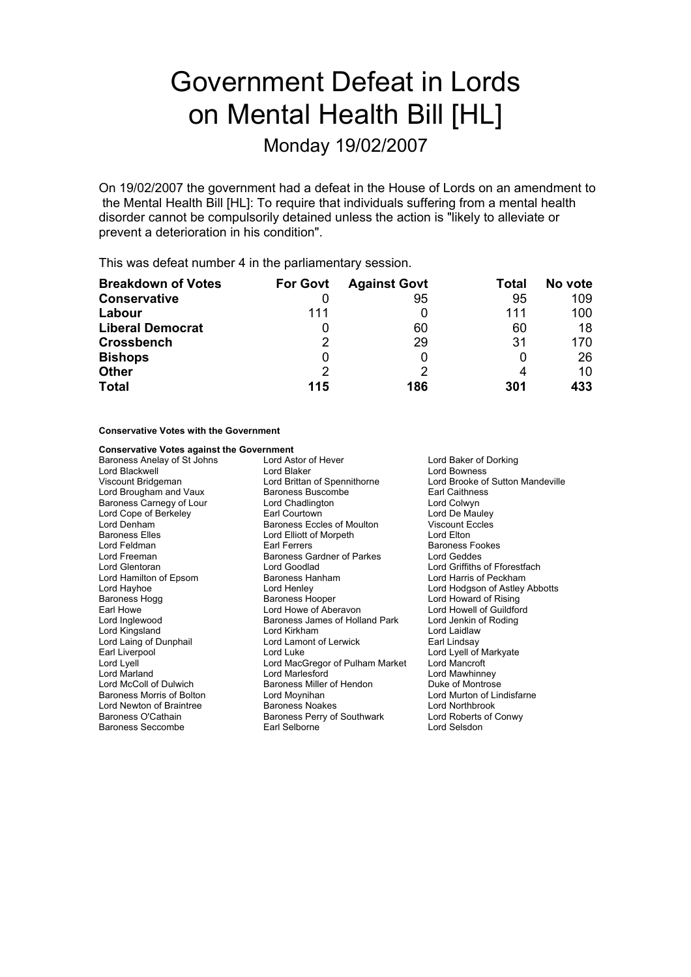# Government Defeat in Lords on Mental Health Bill [HL]

Monday 19/02/2007

On 19/02/2007 the government had a defeat in the House of Lords on an amendment to the Mental Health Bill [HL]: To require that individuals suffering from a mental health disorder cannot be compulsorily detained unless the action is "likely to alleviate or prevent a deterioration in his condition".

This was defeat number 4 in the parliamentary session.

| <b>Breakdown of Votes</b> | <b>For Govt</b> | <b>Against Govt</b> | Total | No vote |
|---------------------------|-----------------|---------------------|-------|---------|
| <b>Conservative</b>       |                 | 95                  | 95    | 109     |
| Labour                    | 111             |                     | 111   | 100     |
| <b>Liberal Democrat</b>   | Ü               | 60                  | 60    | 18      |
| <b>Crossbench</b>         | 2               | 29                  | 31    | 170     |
| <b>Bishops</b>            | 0               |                     |       | 26      |
| <b>Other</b>              | 2               |                     |       | 10      |
| <b>Total</b>              | 115             | 186                 | 301   | 433     |

### **Conservative Votes with the Government**

### **Conservative Votes against the Government**

Lord Brougham and Vaux Baroness Elles Lord Elliott of Morpeth Lord Freeman Baroness Gardner of Parkes<br>
Lord Glentoran **Baroness Cardiac** Lord Hamilton of Epsom Baroness Hanham Earl Howe The Lord Howe of Aberavon<br>
Lord Inglewood The Baroness James of Holla Lord Laing of Dunphail Lord Lamont of Lerwick<br>
Earl Liverpool Lord Luke Baroness Seccombe Earl Selborne Lord Selsdon

Baroness Anelay of St Johns **Ack Lord Astor of Hever For Ack Lord Baker of Dorking** Lord Blackwell **Lord Blaker** Lord Blaker Lord Bowness<br>
Viscount Bridgeman **Lord Brittan of Spennithorne** Lord Brooke of Lord Brittan of Spennithorne Lord Brooke of Sutton Mandeville<br>
Baroness Buscombe Larl Caithness Baroness Carnegy of Lour Lord Chadlington Lord Colwyn Lord Cope of Berkeley **Earl Courtown**<br>
Lord Denham<br>
Baroness Eccles of Moulton **Court Court Cover Contracts** Baroness Eccles of Moulton Viscount E<br>
Lord Elliott of Morpeth<br>
Lord Elton Lord Feldman **Earl Ferrers** Earl Ferrers Baroness Fookes<br>
Lord Freeman **Earl Baroness Gardner of Parkes** Lord Geddes Lord Hayhoe **Lord Henley** Lord Henley **Lord Hotal Lord Hodgson of Astley Abbotts**<br>
Baroness Hogg **Baroness Hooper** Lord Howard of Rising Baroness Hogg Baroness Hooper Cornel Lord Howard of Rising<br>
Earl Howe Baroness Hooper Cornel Lord Howe of Aberavon<br>
Lord Howell of Guildford Baroness James of Holland Park Lord Jenkin of Roding Lord Kingsland **Lord Kirkham** Lord Kirkham Lord Laidlaw Lord Laidlaw Lord Laidlaw Lord Laidlaw Lord Laidlaw Lord Laidlaw Lord Luke Lord Lyell of Markyate Lord Lyell Lord MacGregor of Pulham Market Lord Mancroft Lord Marland Lord Marlesford Lord Mawhinney Baroness Miller of Hendon Baroness Morris of Bolton Lord Moynihan Lord Murton of Lindisfarne Lord Newton of Braintree **Baroness Noakes** Lord Northbrook<br>Baroness O'Cathain **Baroness Perry of Southwark** Lord Roberts of Conwy Baroness Perry of Southwark

Lord Griffiths of Fforestfach<br>Lord Harris of Peckham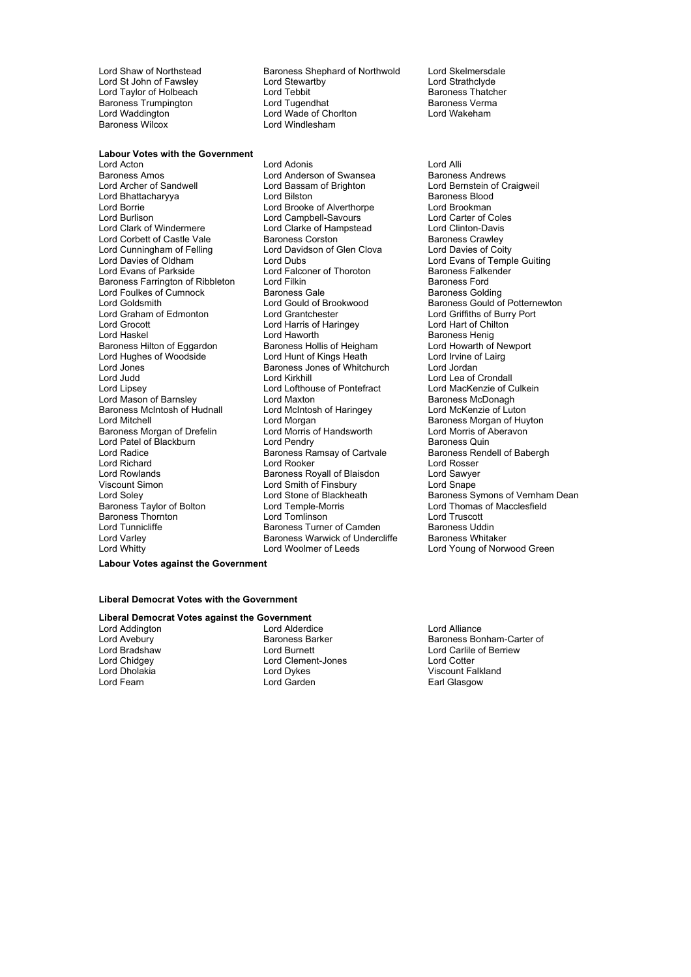Lord Waddington **Chorles Corp Lord Wade of Chorlton Lord Windlesham**<br>Baroness Wilcox **Chorles Corp Lord Windlesham** 

**Labour Votes with the Government** Lord Acton Lord Adonis Lord Alli Baroness Amos<br>
Lord Archer of Sandwell **Lord Bassam of Brighton**<br>
Lord Archer of Sandwell **Lord Bassam of Brighton** Lord Bernstein of C Lord Bhattacharyya Lord Borrie Lord Brooke of Alverthorpe Lord Brookman<br>
Lord Burlison Lord Campbell-Savours Lord Carter of Coles Lord Burlison **Lord Campbell-Savours** Lord Carter of Cole<br>
Lord Clark Coles Lord Clarke of Hampstead Lord Clinton-Davis Lord Corbett of Castle Vale Baroness Corston in the Baroness Crawley<br>
Lord Cunningham of Felling Lord Davidson of Glen Clova Lord Davies of Coity Lord Cunningham of Felling Lord David<br>
Lord Davies of Oldham Lord Dubs Lord Davies of Oldham **Lord Dubs** Lord Dubs Lord Evans of Temple Guiting<br>
Lord Evans of Parkside Lord Falconer of Thoroton Baroness Falkender Baroness Farrington of Ribbleton Lord Filkin Europess Farrington Baroness Ford<br>Lord Foulkes of Cumnock Baroness Gale Baroness Gold Lord Foulkes of Cumnock and Baroness Gale Baroness Golding<br>Lord Goldsmith Lord Gould of Brookwood Baroness Gould of Baroness Gould of Brookwood Lord Goldsmith Lord Gould of Brookwood<br>
Lord Gould of Brookwood Baroness Gould of Potternewton<br>
Lord Graham of Edmonton Lord Grantchester Lord Griffiths of Burry Port Lord Grocott **Lord Harris of Haringey** Lord Hart of Chilton<br>
Lord Hart of Chilton<br>
Lord Haworth **Baroness** Henig Baroness Hilton of Eggardon Baroness Hollis of Heigham Lord Howarth of New Lord Hughes of Woodside Lord Jones Baroness Jones of Whitchurch Lord Jordan Lord Judd Lord Kirkhill Lord Lea of Crondall Lord Mason of Barnsley **Lord Maxton** Baroness McIntosh of Hudnall Lord McIntosh of Haringey Lord McKenzie of Luton<br>Lord Mitchell Lord Morgan Lord Morgan Lord Morgan Baroness Morgan of Hu Baroness Morgan of Drefelin Lord Patel of Blackburn **Lord Pendry** Cartvale Baroness Quin<br>
Lord Radice **Baroness Ramsay of Cartvale** Baroness Rendell of Babergh Lord Richard **Lord Rooker** Lord Rooker Lord Rosser<br>
Lord Rowlands **Lord Rooker** Baroness Royall of Blaisdon Lord Sawyer Viscount Simon **Viscount Simon** Lord Smape<br>
Lord Soley **Contains Lord Stone of Blackheath** Baroness Swapes Store Store 3 Baroness Thornton Lord Tomlinson Lord Truscott Lord Tunnicliffe Tunnicliffe Baroness Turner of Camden Baroness Uddin<br>Lord Varley Corporation Baroness Warwick of Undercliffe Baroness Whitaker

Lord Shaw of Northstead Baroness Shephard of Northwold Lord Skelmersdale<br>
Lord St John of Fawsley **harm being be a Lord Stewartby** bord Strathclyde Lord St John of Fawsley Lord Stewartby Lord Stewar Lord Strathclyde<br>
Lord Taylor of Holbeach Lord Tebbit Lord Tebbit Baroness Thatcher Lord Taylor of Holbeach **Lord Tebbit** Cord Tebbit Baroness Thatch<br>Baroness Trumpington **Lord Tugendhat** Baroness Verma Baroness Trumpington **Example 2** Lord Tugendhat Baroness Verman Lord Wakeham<br>
Lord Waddington **Baroness Corporation**<br>
Lord Waddington **Baroness Corporation** Lord Wakeham Lord Windlesham

Lord Bassam of Brighton Lord Bernstein of Craigweil<br>
Lord Bilston Corp Baroness Blood Lord Clarke of Hampstead Lord Clinton-Davis<br>Baroness Corston Baroness Crawley Lord Falconer of Thoroton<br>I ord Filkin Lord Haworth **Example 2018**<br>
Baroness Hollis of Heigham **Baroness Hollis Algebrary** Lord Howarth of Newport Lord Lofthouse of Pontefract Lord MacKenzie of Culture<br>
Lord Maxton de Baroness McDonagh Lord Morgan **Community Community** Baroness Morgan of Huyton Lord Morris of Aberavon Baroness Ramsay of Cartvale Baroness Rendell Baroness Rendell Baroness Rendell State Baroness Rendell State Ba<br>Lord Rosser Baroness Royall of Blaisdon Lord Varley **Baroness Warwick of Undercliffe**<br>
Lord Whitty **Baroness Warwick of Undercliffe** Lord Woolmer of Leeds Lord Young of Norwood Green

Lord Griffiths of Burry Port Lord Soley Lord Stone of Blackheath Baroness Symons of Vernham Dean<br>Baroness Taylor of Bolton Lord Temple-Morris Lord Thomas of Macclesfield Lord Thomas of Macclesfield

**Labour Votes against the Government**

#### **Liberal Democrat Votes with the Government**

# **Liberal Democrat Votes against the Government**<br>
Lord Addington **bure 1** Lord Alderdice

Lord Addington **Lord Alliance** Lord Alderdice **Lord Alliance** Lord Alliance Lord Alliance **Lord Alliance** Lord Alliance **Lord Alliance** Baroness Bor Lord Chidgey **Lord Clement-Jones** Lord Cotter<br>
Lord Dholakia **Notably Lord Cotter**<br>
Lord Dvkes Niscount Fa Lord Dholakia Lord Dykes Viscount Falkland

Baroness Bonham-Carter of Lord Bradshaw **Lord Burnett** Lord Carlile of Berriew Earl Glasgow